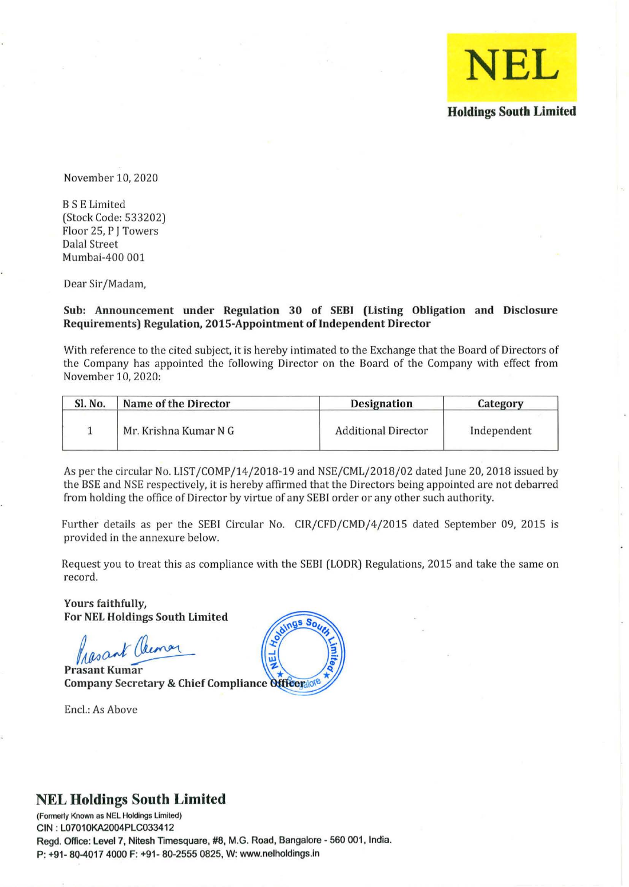

November 10, 2020

B S E Limited (Stock Code: 533202) Floor 25, P J Towers Dalal Street Mumbai-400 001

Dear Sir/Madam,

#### Sub: Announcement under Regulation 30 of SEBI (Listing Obligation and Disclosure Requirements) Regulation, 201S-Appointment of Independent Director

With reference to the cited subject, it is hereby intimated to the Exchange that the Board of Directors of the Company has appointed the following Director on the Board of the Company with effect from November 10, 2020:

| Sl. No. | Name of the Director  | <b>Designation</b>         | Category    |
|---------|-----------------------|----------------------------|-------------|
|         | Mr. Krishna Kumar N G | <b>Additional Director</b> | Independent |

As per the circular No. LIST/COMP/14/2018-19 and NSE/CML/2018/02 dated June 20, 2018 issued by the BSE and NSE respectively, it is hereby affirmed that the Directors being appointed are not debarred from holding the office of Director by virtue of any SEBI order or any other such authority.

Further details as per the SEBI Circular No. CIR/CFD/CMD/4/2015 dated September 09, 2015 is provided in the annexure below.

Request you to treat this as compliance with the SEBI (LODR) Regulations, 2015 and take the same on record.

Yours faithfully, For NEL Holdings South Limited

Prasant Clemar

**Prasant Kumar** Company Secretary & Chief Compliance Officer lote

Enc!.: As Above



# **NEL Holdings South Limited**

**(Formei1y Known as NEl Holdings limited)**  GIN : l07010KA2004PlG033412 Regd. Office: Level 7, Nitesh Timesquare, #8, M.G. Road, Bangalore - 560 001, India. P: +91· 80-4017 4000 F: +91· 80·2555 0825, W: www.nelholdings.in